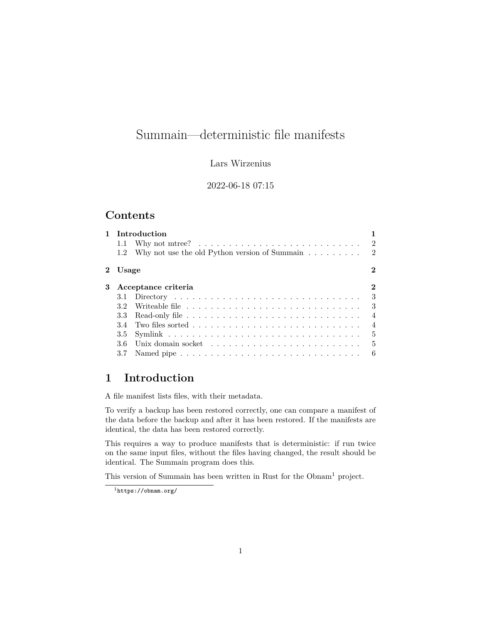# Summain—deterministic file manifests

#### Lars Wirzenius

#### 2022-06-18 07:15

### **Contents**

| $\mathbf{1}$ |                     | Introduction                                                                      |                |
|--------------|---------------------|-----------------------------------------------------------------------------------|----------------|
|              | 1.1                 | Why not mtree? $\ldots \ldots \ldots \ldots \ldots \ldots \ldots \ldots \ldots 2$ |                |
|              | 1.2                 | Why not use the old Python version of Summain $\ldots \ldots \ldots$ 2            |                |
|              | 2 Usage             |                                                                                   | 2              |
| 3            | Acceptance criteria |                                                                                   |                |
|              |                     |                                                                                   | 3              |
|              |                     |                                                                                   | -3             |
|              | 3.3                 |                                                                                   | $\overline{4}$ |
|              | 34                  |                                                                                   | $\overline{4}$ |
|              |                     |                                                                                   | - 5            |
|              | 36                  |                                                                                   | - 5            |
|              | 3.7                 |                                                                                   | -6             |

## <span id="page-0-0"></span>**1 Introduction**

A file manifest lists files, with their metadata.

To verify a backup has been restored correctly, one can compare a manifest of the data before the backup and after it has been restored. If the manifests are identical, the data has been restored correctly.

This requires a way to produce manifests that is deterministic: if run twice on the same input files, without the files having changed, the result should be identical. The Summain program does this.

This version of Summain has been written in Rust for the Obnam<sup>[1](#page-0-1)</sup> project.

<span id="page-0-1"></span><sup>1</sup><https://obnam.org/>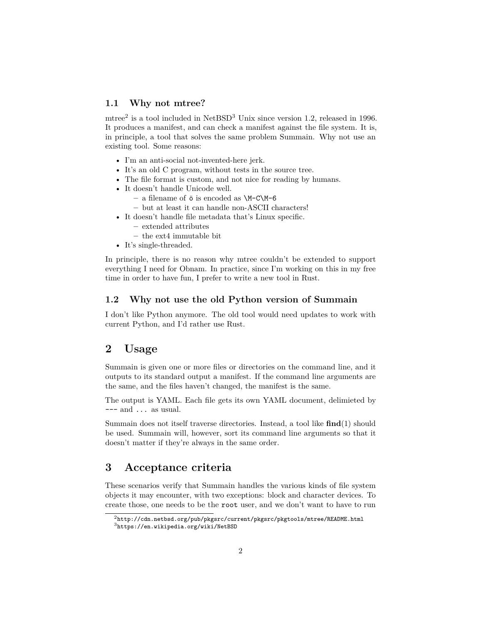#### <span id="page-1-0"></span>**1.1 Why not mtree?**

mtree<sup>[2](#page-1-4)</sup> is a tool included in NetBSD<sup>[3](#page-1-5)</sup> Unix since version 1.2, released in 1996. It produces a manifest, and can check a manifest against the file system. It is, in principle, a tool that solves the same problem Summain. Why not use an existing tool. Some reasons:

- I'm an anti-social not-invented-here jerk.
- It's an old C program, without tests in the source tree.
- The file format is custom, and not nice for reading by humans.
- It doesn't handle Unicode well.
	- **–** a filename of ö is encoded as \M-C\M-6
	- **–** but at least it can handle non-ASCII characters!
- It doesn't handle file metadata that's Linux specific.
	- **–** extended attributes
	- **–** the ext4 immutable bit
- It's single-threaded.

In principle, there is no reason why mtree couldn't be extended to support everything I need for Obnam. In practice, since I'm working on this in my free time in order to have fun, I prefer to write a new tool in Rust.

#### <span id="page-1-1"></span>**1.2 Why not use the old Python version of Summain**

I don't like Python anymore. The old tool would need updates to work with current Python, and I'd rather use Rust.

### <span id="page-1-2"></span>**2 Usage**

Summain is given one or more files or directories on the command line, and it outputs to its standard output a manifest. If the command line arguments are the same, and the files haven't changed, the manifest is the same.

The output is YAML. Each file gets its own YAML document, delimieted by  $---$  and  $\ldots$  as usual.

Summain does not itself traverse directories. Instead, a tool like **find**(1) should be used. Summain will, however, sort its command line arguments so that it doesn't matter if they're always in the same order.

### <span id="page-1-3"></span>**3 Acceptance criteria**

These scenarios verify that Summain handles the various kinds of file system objects it may encounter, with two exceptions: block and character devices. To create those, one needs to be the root user, and we don't want to have to run

<span id="page-1-5"></span><span id="page-1-4"></span> $2$ <http://cdn.netbsd.org/pub/pkgsrc/current/pkgsrc/pkgtools/mtree/README.html> <sup>3</sup><https://en.wikipedia.org/wiki/NetBSD>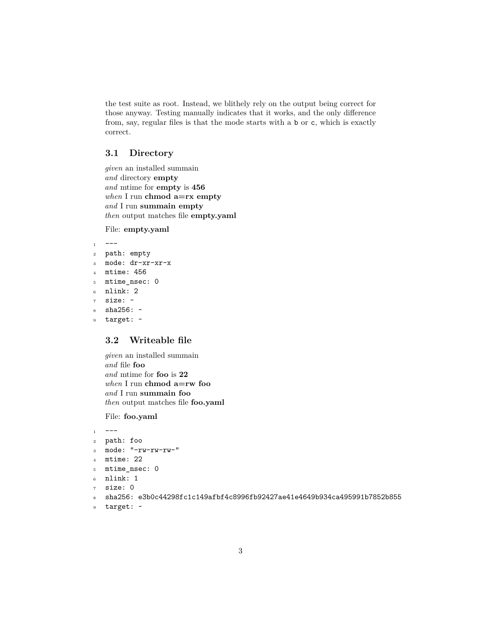the test suite as root. Instead, we blithely rely on the output being correct for those anyway. Testing manually indicates that it works, and the only difference from, say, regular files is that the mode starts with a b or c, which is exactly correct.

### <span id="page-2-0"></span>**3.1 Directory**

*given* an installed summain *and* directory **empty** *and* mtime for **empty** is **456** *when* I run **chmod a=rx empty** *and* I run **summain empty** *then* output matches file **empty.yaml**

File: **empty.yaml**

```
1 - -2 path: empty
3 mode: dr-xr-xr-x
4 mtime: 456
5 mtime_nsec: 0
6 nlink: 2
7 size: ~
  sha256: ~9 target: ~
```
### <span id="page-2-1"></span>**3.2 Writeable file**

*given* an installed summain *and* file **foo** *and* mtime for **foo** is **22** *when* I run **chmod a=rw foo** *and* I run **summain foo** *then* output matches file **foo.yaml**

File: **foo.yaml**

```
1 - - -2 path: foo
3 mode: "-rw-rw-rw-"
4 mtime: 22
5 mtime_nsec: 0
6 nlink: 1
7 size: 0
  8 sha256: e3b0c44298fc1c149afbf4c8996fb92427ae41e4649b934ca495991b7852b855
```

```
9 target: ~
```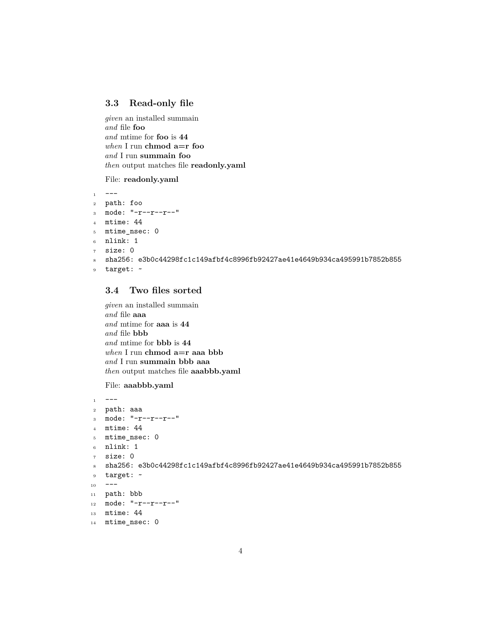#### <span id="page-3-0"></span>**3.3 Read-only file**

*given* an installed summain *and* file **foo** *and* mtime for **foo** is **44** *when* I run **chmod a=r foo** *and* I run **summain foo** *then* output matches file **readonly.yaml**

File: **readonly.yaml**

```
1 - -2 path: foo
3 mode: "-r--r--r--"
4 mtime: 44
5 mtime_nsec: 0
6 nlink: 1
7 size: 0
 8 sha256: e3b0c44298fc1c149afbf4c8996fb92427ae41e4649b934ca495991b7852b855
9 target: ~
```
### <span id="page-3-1"></span>**3.4 Two files sorted**

*given* an installed summain *and* file **aaa** *and* mtime for **aaa** is **44** *and* file **bbb** *and* mtime for **bbb** is **44** *when* I run **chmod a=r aaa bbb** *and* I run **summain bbb aaa** *then* output matches file **aaabbb.yaml**

File: **aaabbb.yaml**

```
1 - -2 path: aaa
3 mode: "-r--r--r--"
4 mtime: 44
5 mtime_nsec: 0
6 nlink: 1
7 size: 0
8 sha256: e3b0c44298fc1c149afbf4c8996fb92427ae41e4649b934ca495991b7852b855
9 target: ~
10 ---11 path: bbb
12 mode: "-r--r--r--"
13 mtime: 44
14 mtime_nsec: 0
```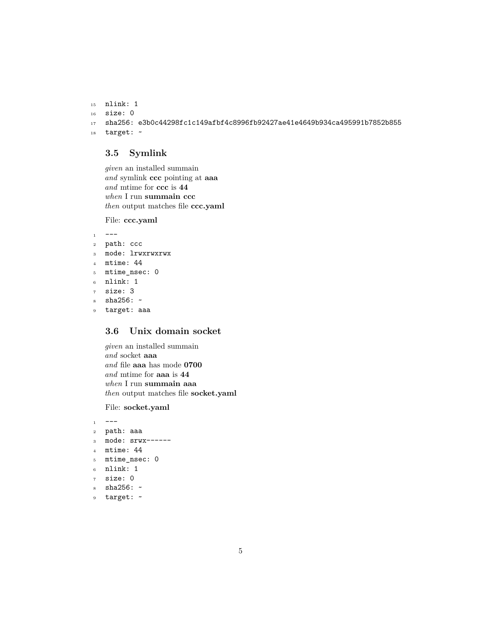```
15 nlink: 1
16 size: 0
17 sha256: e3b0c44298fc1c149afbf4c8996fb92427ae41e4649b934ca495991b7852b855
18 target: ~
```
#### <span id="page-4-0"></span>**3.5 Symlink**

*given* an installed summain *and* symlink **ccc** pointing at **aaa** *and* mtime for **ccc** is **44** *when* I run **summain ccc** *then* output matches file **ccc.yaml**

File: **ccc.yaml**

```
1 - -2 path: ccc
3 mode: lrwxrwxrwx
4 mtime: 44
5 mtime_nsec: 0
6 nlink: 1
7 size: 3
```

```
s sha256: \sim
```

```
9 target: aaa
```
### <span id="page-4-1"></span>**3.6 Unix domain socket**

*given* an installed summain *and* socket **aaa** *and* file **aaa** has mode **0700** *and* mtime for **aaa** is **44** *when* I run **summain aaa** *then* output matches file **socket.yaml**

File: **socket.yaml**

```
1 \quad -2 path: aaa
3 mode: srwx------
4 mtime: 44
```

```
5 mtime_nsec: 0
```

```
6 nlink: 1
```

```
7 size: 0
```

```
8 sha256: ~
```

```
9 target: ~
```